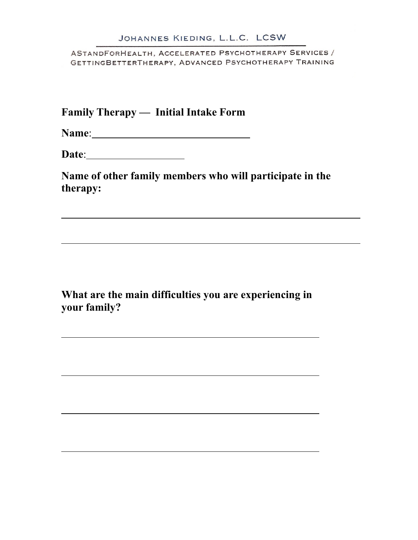**Family Therapy — Initial Intake Form**

**Name**:

**Date**:

**Name of other family members who will participate in the therapy:**

**What are the main difficulties you are experiencing in your family?**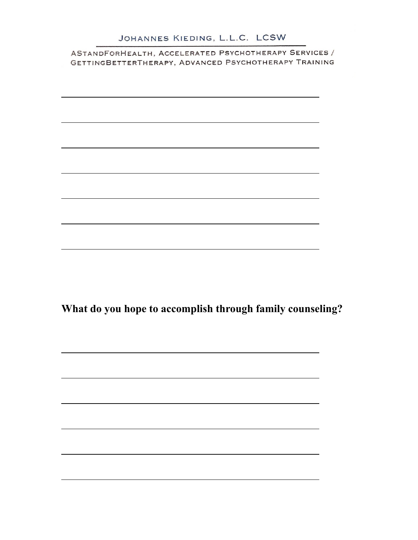**What do you hope to accomplish through family counseling?**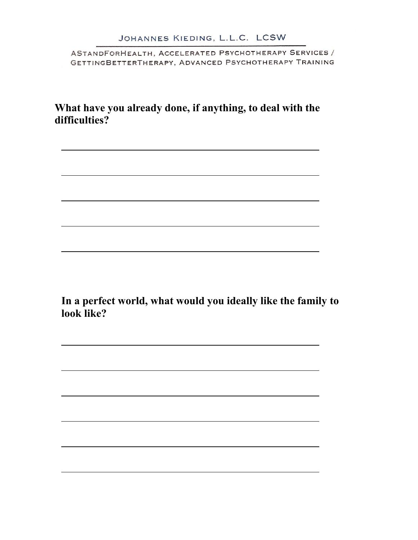**What have you already done, if anything, to deal with the difficulties?**

**In a perfect world, what would you ideally like the family to look like?**

<u> 1989 - Johann Stoff, amerikansk politiker (\* 1908)</u>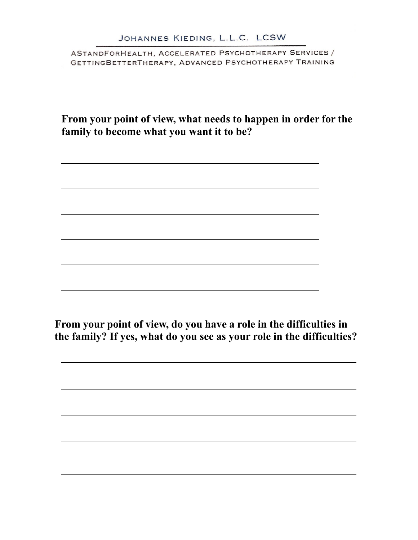**From your point of view, what needs to happen in order for the family to become what you want it to be?**

**From your point of view, do you have a role in the difficulties in the family? If yes, what do you see as your role in the difficulties?**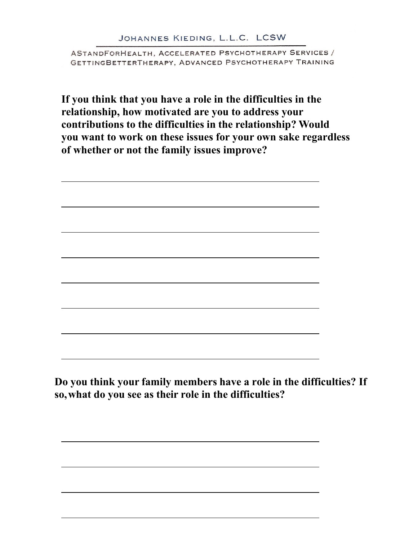## JOHANNES KIEDING, L.L.C. LCSW

ASTANDFORHEALTH, ACCELERATED PSYCHOTHERAPY SERVICES / GETTINGBETTERTHERAPY, ADVANCED PSYCHOTHERAPY TRAINING

**If you think that you have a role in the difficulties in the relationship, how motivated are you to address your contributions to the difficulties in the relationship? Would you want to work on these issues for your own sake regardless of whether or not the family issues improve?**

Do you think your family members have a role in the difficulties? If so, what do you see as their role in the difficulties?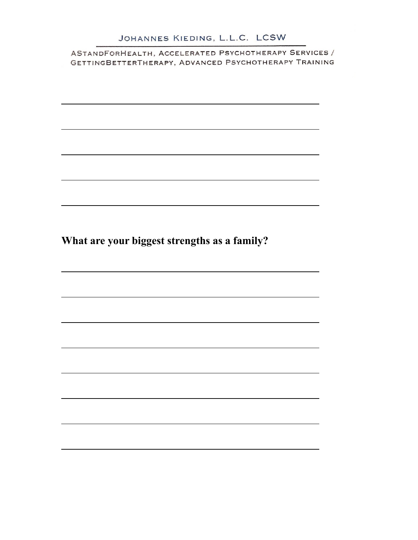## JOHANNES KIEDING, L.L.C. LCSW

ASTANDFORHEALTH, ACCELERATED PSYCHOTHERAPY SERVICES / GETTINGBETTERTHERAPY, ADVANCED PSYCHOTHERAPY TRAINING

**What are your biggest strengths as a family?**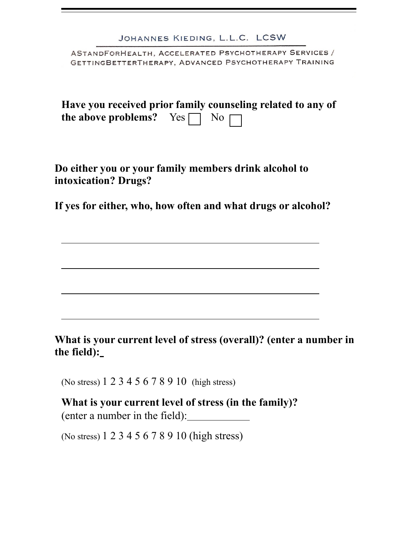| JOHANNES KIEDING, L.L.C. LCSW                                                                                  |
|----------------------------------------------------------------------------------------------------------------|
| ASTANDFORHEALTH, ACCELERATED PSYCHOTHERAPY SERVICES /<br>GETTINGBETTERTHERAPY, ADVANCED PSYCHOTHERAPY TRAINING |
| Have you received prior family counseling related to any of<br>the above problems? Yes $\Box$ No $\Box$        |

**Do either you or your family members drink alcohol to intoxication? Drugs?**

**If yes for either, who, how often and what drugs or alcohol?**

**What is your current level of stress (overall)? (enter a number in**  the field):\_

(No stress) 1 2 3 4 5 6 7 8 9 10 (high stress)

**What is your current level of stress (in the family)?** (enter a number in the field):

(No stress) 1 2 3 4 5 6 7 8 9 10 (high stress)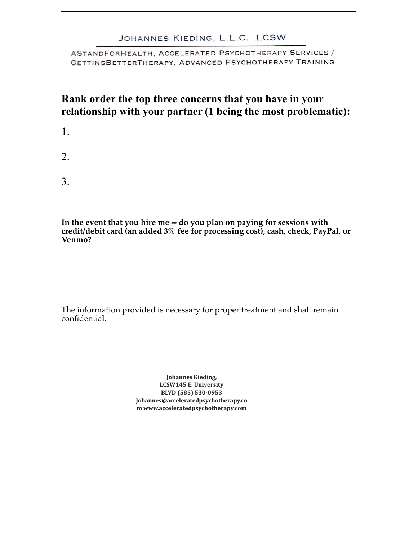## JOHANNES KIEDING, L.L.C. LCSW

ASTANDFORHEALTH, ACCELERATED PSYCHOTHERAPY SERVICES / GETTINGBETTERTHERAPY, ADVANCED PSYCHOTHERAPY TRAINING

## **Rank order the top three concerns that you have in your relationship with your partner (1 being the most problematic):**

- 1.
- 2.
- 3.

**In the event that you hire me -- do you plan on paying for sessions with credit/debit card (an added 3% fee for processing cost), cash, check, PayPal, or Venmo?** 

The information provided is necessary for proper treatment and shall remain confidential.

> **Johannes**LCSW145 E. University BLVD (585) 530-0953 Johannes@acceleratedpsychotherapy.co m www.acceleratedpsychotherapy.com